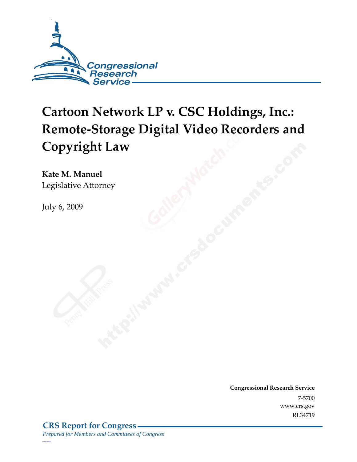

# **Cartoon Network LP v. CSC Holdings, Inc.: Remote-Storage Digital Video Recorders and Copyright Law**

**Kate M. Manuel**  Legislative Attorney

July 6, 2009

**Congressional Research Service** 7-5700 www.crs.gov RL34719

*c11173008*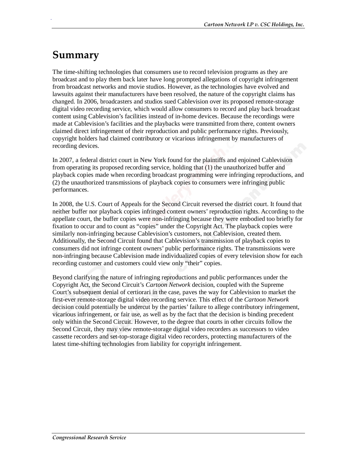# **Summary**

.

The time-shifting technologies that consumers use to record television programs as they are broadcast and to play them back later have long prompted allegations of copyright infringement from broadcast networks and movie studios. However, as the technologies have evolved and lawsuits against their manufacturers have been resolved, the nature of the copyright claims has changed. In 2006, broadcasters and studios sued Cablevision over its proposed remote-storage digital video recording service, which would allow consumers to record and play back broadcast content using Cablevision's facilities instead of in-home devices. Because the recordings were made at Cablevision's facilities and the playbacks were transmitted from there, content owners claimed direct infringement of their reproduction and public performance rights. Previously, copyright holders had claimed contributory or vicarious infringement by manufacturers of recording devices.

In 2007, a federal district court in New York found for the plaintiffs and enjoined Cablevision from operating its proposed recording service, holding that (1) the unauthorized buffer and playback copies made when recording broadcast programming were infringing reproductions, and (2) the unauthorized transmissions of playback copies to consumers were infringing public performances.

In 2008, the U.S. Court of Appeals for the Second Circuit reversed the district court. It found that neither buffer nor playback copies infringed content owners' reproduction rights. According to the appellate court, the buffer copies were non-infringing because they were embodied too briefly for fixation to occur and to count as "copies" under the Copyright Act. The playback copies were similarly non-infringing because Cablevision's customers, not Cablevision, created them. Additionally, the Second Circuit found that Cablevision's transmission of playback copies to consumers did not infringe content owners' public performance rights. The transmissions were non-infringing because Cablevision made individualized copies of every television show for each recording customer and customers could view only "their" copies.

Beyond clarifying the nature of infringing reproductions and public performances under the Copyright Act, the Second Circuit's *Cartoon Network* decision, coupled with the Supreme Court's subsequent denial of certiorari in the case, paves the way for Cablevision to market the first-ever remote-storage digital video recording service. This effect of the *Cartoon Network* decision could potentially be undercut by the parties' failure to allege contributory infringement, vicarious infringement, or fair use, as well as by the fact that the decision is binding precedent only within the Second Circuit. However, to the degree that courts in other circuits follow the Second Circuit, they may view remote-storage digital video recorders as successors to video cassette recorders and set-top-storage digital video recorders, protecting manufacturers of the latest time-shifting technologies from liability for copyright infringement.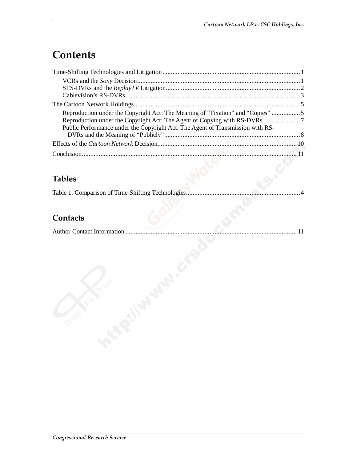# **Contents**

.

| Reproduction under the Copyright Act: The Meaning of "Fixation" and "Copies" 5 |  |
|--------------------------------------------------------------------------------|--|
|                                                                                |  |
| Public Performance under the Copyright Act: The Agent of Transmission with RS- |  |
|                                                                                |  |
|                                                                                |  |
|                                                                                |  |

## **Tables**

### **Contacts**

|--|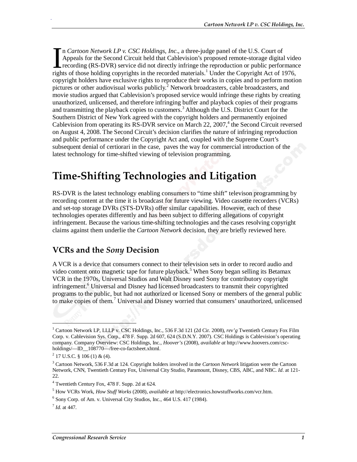n *Cartoon Network LP v. CSC Holdings, Inc*., a three-judge panel of the U.S. Court of Appeals for the Second Circuit held that Cablevision's proposed remote-storage digital video recording (RS-DVR) service did not directly infringe the reproduction or public performance In Cartoon Network LP v. CSC Holdings, Inc., a three-judge panel of the U.S. Court of Appeals for the Second Circuit held that Cablevision's proposed remote-storage digital vide recording (RS-DVR) service did not directly copyright holders have exclusive rights to reproduce their works in copies and to perform motion pictures or other audiovisual works publicly.<sup>2</sup> Network broadcasters, cable broadcasters, and movie studios argued that Cablevision's proposed service would infringe these rights by creating unauthorized, unlicensed, and therefore infringing buffer and playback copies of their programs and transmitting the playback copies to customers.<sup>3</sup> Although the U.S. District Court for the Southern District of New York agreed with the copyright holders and permanently enjoined Cablevision from operating its RS-DVR service on March 22,  $2007<sup>4</sup>$ , the Second Circuit reversed on August 4, 2008. The Second Circuit's decision clarifies the nature of infringing reproduction and public performance under the Copyright Act and, coupled with the Supreme Court's subsequent denial of certiorari in the case, paves the way for commercial introduction of the latest technology for time-shifted viewing of television programming.

# **Time-Shifting Technologies and Litigation**

RS-DVR is the latest technology enabling consumers to "time shift" televison programming by recording content at the time it is broadcast for future viewing. Video cassette recorders (VCRs) and set-top storage DVRs (STS-DVRs) offer similar capabilities. However, each of these technologies operates differently and has been subject to differing allegations of copyright infringement. Because the various time-shifting technologies and the cases resolving copyright claims against them underlie the *Cartoon Network* decision, they are briefly reviewed here.

#### **VCRs and the** *Sony* **Decision**

A VCR is a device that consumers connect to their television sets in order to record audio and video content onto magnetic tape for future playback.<sup>5</sup> When Sony began selling its Betamax VCR in the 1970s, Universal Studios and Walt Disney sued Sony for contributory copyright infringement.<sup>6</sup> Universal and Disney had licensed broadcasters to transmit their copyrighted programs to the public, but had not authorized or licensed Sony or members of the general public to make copies of them.<sup>7</sup> Universal and Disney worried that consumers' unauthorized, unlicensed

1

<sup>&</sup>lt;sup>1</sup> Cartoon Network LP, LLLP v. CSC Holdings, Inc., 536 F.3d 121 (2d Cir. 2008), *rev'g* Twentieth Century Fox Film Corp. v. Cablevision Sys. Corp., 478 F. Supp. 2d 607, 624 (S.D.N.Y. 2007). CSC Holdings is Cablevision's operating company. Company Overview: CSC Holdings, Inc., *Hoover's* (2008), *available at* http://www.hoovers.com/cscholdings/—ID\_\_108770—/free-co-factsheet.xhtml.

 $2$  17 U.S.C. § 106 (1) & (4).

<sup>3</sup> Cartoon Network, 536 F.3d at 124. Copyright holders involved in the *Cartoon Network* litigation were the Cartoon Network, CNN, Twentieth Century Fox, Universal City Studio, Paramount, Disney, CBS, ABC, and NBC. *Id*. at 121- 22.

<sup>4</sup> Twentieth Century Fox, 478 F. Supp. 2d at 624.

<sup>5</sup> How VCRs Work, *How Stuff Works* (2008), *available at* http://electronics.howstuffworks.com/vcr.htm.

<sup>6</sup> Sony Corp. of Am. v. Universal City Studios, Inc., 464 U.S. 417 (1984).

<sup>7</sup> *Id*. at 447.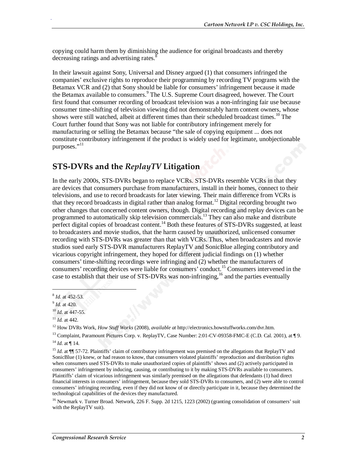copying could harm them by diminishing the audience for original broadcasts and thereby decreasing ratings and advertising rates.<sup>8</sup>

In their lawsuit against Sony, Universal and Disney argued (1) that consumers infringed the companies' exclusive rights to reproduce their programming by recording TV programs with the Betamax VCR and (2) that Sony should be liable for consumers' infringement because it made the Betamax available to consumers.<sup>9</sup> The U.S. Supreme Court disagreed, however. The Court first found that consumer recording of broadcast television was a non-infringing fair use because consumer time-shifting of television viewing did not demonstrably harm content owners, whose shows were still watched, albeit at different times than their scheduled broadcast times.<sup>10</sup> The Court further found that Sony was not liable for contributory infringement merely for manufacturing or selling the Betamax because "the sale of copying equipment ... does not constitute contributory infringement if the product is widely used for legitimate, unobjectionable purposes."<sup>11</sup>

#### **STS-DVRs and the** *ReplayTV* **Litigation**

In the early 2000s, STS-DVRs began to replace VCRs. STS-DVRs resemble VCRs in that they are devices that consumers purchase from manufacturers, install in their homes, connect to their televisions, and use to record broadcasts for later viewing. Their main difference from VCRs is that they record broadcasts in digital rather than analog format.<sup>12</sup> Digital recording brought two other changes that concerned content owners, though. Digital recording and replay devices can be programmed to automatically skip television commercials.<sup>13</sup> They can also make and distribute perfect digital copies of broadcast content.<sup>14</sup> Both these features of STS-DVRs suggested, at least to broadcasters and movie studios, that the harm caused by unauthorized, unlicensed consumer recording with STS-DVRs was greater than that with VCRs. Thus, when broadcasters and movie studios sued early STS-DVR manufacturers ReplayTV and SonicBlue alleging contributory and vicarious copyright infringement, they hoped for different judicial findings on (1) whether consumers' time-shifting recordings were infringing and (2) whether the manufacturers of consumers' recording devices were liable for consumers' conduct.<sup>15</sup> Consumers intervened in the case to establish that their use of STS-DVRs was non-infringing,<sup>16</sup> and the parties eventually

1

<sup>&</sup>lt;sup>8</sup> *Id.* at 452-53.<br><sup>9</sup> *Id.* at 420.

<sup>10</sup> *Id*. at 447-55.

<sup>&</sup>lt;sup>11</sup> *Id.* at 442.<br><sup>12</sup> How DVRs Work, *How Stuff Works* (2008), *available at* http://electronics.howstuffworks.com/dvr.htm.

<sup>&</sup>lt;sup>13</sup> Complaint, Paramount Pictures Corp. v. ReplayTV, Case Number: 2:01-CV-09358-FMC-E (C.D. Cal. 2001), at ¶ 9.  $14$  *Id.* at ¶ 14.

<sup>&</sup>lt;sup>15</sup> *Id.* at **[1]** 57-72. Plaintiffs' claim of contributory infringement was premised on the allegations that ReplayTV and SonicBlue (1) knew, or had reason to know, that consumers violated plaintiffs' reproduction and distribution rights when consumers used STS-DVRs to make unauthorized copies of plaintiffs' shows and (2) actively participated in consumers' infringement by inducing, causing, or contributing to it by making STS-DVRs available to consumers. Plaintiffs' claim of vicarious infringement was similarly premised on the allegations that defendants (1) had direct financial interests in consumers' infringement, because they sold STS-DVRs to consumers, and (2) were able to control consumers' infringing recording, even if they did not know of or directly participate in it, because they determined the technological capabilities of the devices they manufactured.

<sup>&</sup>lt;sup>16</sup> Newmark v. Turner Broad. Network, 226 F. Supp. 2d 1215, 1223 (2002) (granting consolidation of consumers' suit with the ReplayTV suit).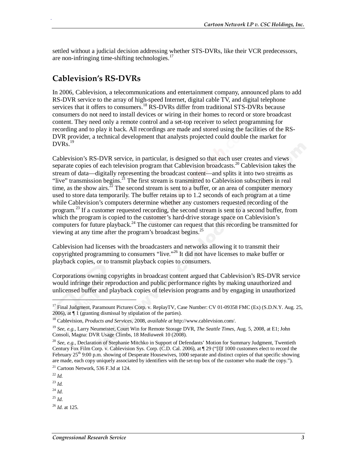settled without a judicial decision addressing whether STS-DVRs, like their VCR predecessors, are non-infringing time-shifting technologies. $17$ 

#### **Cablevision's RS-DVRs**

.

In 2006, Cablevision, a telecommunications and entertainment company, announced plans to add RS-DVR service to the array of high-speed Internet, digital cable TV, and digital telephone services that it offers to consumers.<sup>18</sup> RS-DVRs differ from traditional STS-DVRs because consumers do not need to install devices or wiring in their homes to record or store broadcast content. They need only a remote control and a set-top receiver to select programming for recording and to play it back. All recordings are made and stored using the facilities of the RS-DVR provider, a technical development that analysts projected could double the market for  $DVRs.$ <sup>19</sup>

Cablevision's RS-DVR service, in particular, is designed so that each user creates and views separate copies of each television program that Cablevision broadcasts.<sup>20</sup> Cablevision takes the stream of data—digitally representing the broadcast content—and splits it into two streams as "live" transmission begins. $^{21}$  The first stream is transmitted to Cablevision subscribers in real time, as the show airs. $\frac{z_2}{z_1}$  The second stream is sent to a buffer, or an area of computer memory used to store data temporarily. The buffer retains up to 1.2 seconds of each program at a time while Cablevision's computers determine whether any customers requested recording of the program.<sup>23</sup> If a customer requested recording, the second stream is sent to a second buffer, from which the program is copied to the customer's hard-drive storage space on Cablevision's computers for future playback.<sup>24</sup> The customer can request that this recording be transmitted for viewing at any time after the program's broadcast begins.<sup>25</sup>

Cablevision had licenses with the broadcasters and networks allowing it to transmit their copyrighted programming to consumers "live."<sup>26</sup> It did not have licenses to make buffer or playback copies, or to transmit playback copies to consumers.

Corporations owning copyrights in broadcast content argued that Cablevision's RS-DVR service would infringe their reproduction and public performance rights by making unauthorized and unlicensed buffer and playback copies of television programs and by engaging in unauthorized

<sup>&</sup>lt;sup>17</sup> Final Judgment, Paramount Pictures Corp. v. ReplayTV, Case Number: CV 01-09358 FMC (Ex) (S.D.N.Y. Aug. 25, 2006), at ¶ 1 (granting dismissal by stipulation of the parties).

<sup>18</sup> Cablevision, *Products and Services*, 2008, *available at* http://www.cablevision.com/.

<sup>19</sup> *See, e.g.*, Larry Neumeister, Court Win for Remote Storage DVR, *The Seattle Times*, Aug. 5, 2008, at E1; John Consoli, Magna: DVR Usage Climbs, 18 *Mediaweek* 10 (2008).

<sup>20</sup> *See, e.g.,* Declaration of Stephanie Mitchko in Support of Defendants' Motion for Summary Judgment, Twentieth Century Fox Film Corp. v. Cablevision Sys. Corp. (C.D. Cal. 2006), at  $\mathbb{T}$  29 ("[I]f 1000 customers elect to record the February  $25<sup>th</sup>$  9:00 p.m. showing of Desperate Housewives, 1000 separate and distinct copies of that specific showing are made, each copy uniquely associated by identifiers with the set-top box of the customer who made the copy.").

 $21$  Cartoon Network, 536 F.3d at 124.

<sup>22</sup> *Id.*

<sup>23</sup> *Id.*

<sup>24</sup> *Id*.

 $^{25}$  *Id.* 

<sup>26</sup> *Id*. at 125.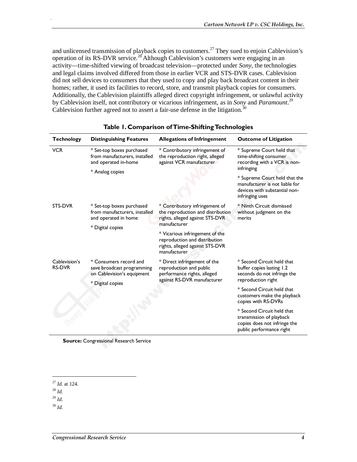and unlicensed transmission of playback copies to customers.<sup>27</sup> They sued to enjoin Cablevision's operation of its RS-DVR service.28 Although Cablevision's customers were engaging in an activity—time-shifted viewing of broadcast television—protected under *Sony*, the technologies and legal claims involved differed from those in earlier VCR and STS-DVR cases. Cablevision did not sell devices to consumers that they used to copy and play back broadcast content in their homes; rather, it used its facilities to record, store, and transmit playback copies for consumers. Additionally, the Cablevision plaintiffs alleged direct copyright infringement, or unlawful activity by Cablevision itself, not contributory or vicarious infringement, as in *Sony* and *Paramount*. 29 Cablevision further agreed not to assert a fair-use defense in the litigation.<sup>30</sup>

| <b>Technology</b>              | <b>Distinguishing Features</b>                                                                         | <b>Allegations of Infringement</b>                                                                                     | <b>Outcome of Litigation</b>                                                                                                               |
|--------------------------------|--------------------------------------------------------------------------------------------------------|------------------------------------------------------------------------------------------------------------------------|--------------------------------------------------------------------------------------------------------------------------------------------|
| <b>VCR</b>                     | * Set-top boxes purchased<br>from manufacturers, installed<br>and operated in-home                     | * Contributory infringement of<br>the reproduction right, alleged<br>against VCR manufacturer                          | * Supreme Court held that<br>time-shifting consumer<br>recording with a VCR is non-<br>infringing                                          |
|                                | * Analog copies                                                                                        |                                                                                                                        | * Supreme Court held that the<br>manufacturer is not liable for<br>devices with substantial non-<br>infringing uses                        |
| STS-DVR                        | * Set-top boxes purchased<br>from manufacturers, installed<br>and operated in home<br>* Digital copies | * Contributory infringement of<br>the reproduction and distribution<br>rights, alleged against STS-DVR<br>manufacturer | * Ninth Circuit dismissed<br>without judgment on the<br>merits                                                                             |
|                                |                                                                                                        | * Vicarious infringement of the<br>reproduction and distribution<br>rights, alleged against STS-DVR<br>manufacturer    |                                                                                                                                            |
| Cablevision's<br><b>RS-DVR</b> | * Consumers record and<br>save broadcast programming<br>on Cablevision's equipment                     | * Direct infringement of the<br>reproduction and public<br>performance rights, alleged<br>against RS-DVR manufacturer  | * Second Circuit held that<br>buffer copies lasting 1.2<br>seconds do not infringe the<br>reproduction right<br>* Second Circuit held that |
|                                | * Digital copies                                                                                       |                                                                                                                        |                                                                                                                                            |
|                                |                                                                                                        |                                                                                                                        | customers make the playback<br>copies with RS-DVRs                                                                                         |
|                                |                                                                                                        |                                                                                                                        | * Second Circuit held that<br>transmission of playback<br>copies does not infringe the<br>public performance right                         |

|  | Table 1. Comparison of Time-Shifting Technologies |
|--|---------------------------------------------------|
|  |                                                   |

<sup>28</sup> *Id*.

<u>.</u>

.

 $^{29}$  *Id.* 

<sup>30</sup> *Id*.

**Source: Congressional Research Service** 

<sup>27</sup> *Id*. at 124.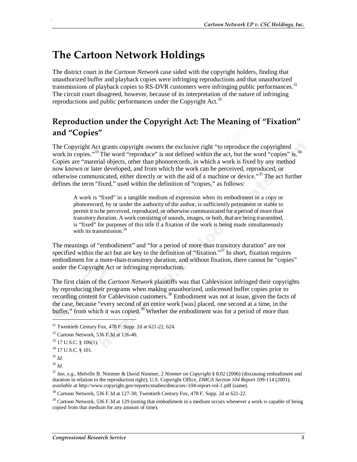# **The Cartoon Network Holdings**

The district court in the *Cartoon Network* case sided with the copyright holders, finding that unauthorized buffer and playback copies were infringing reproductions and that unauthorized transmissions of playback copies to RS-DVR customers were infringing public performances.<sup>31</sup> The circuit court disagreed, however, because of its interpretation of the nature of infringing reproductions and public performances under the Copyright Act.<sup>32</sup>

### **Reproduction under the Copyright Act: The Meaning of "Fixation" and "Copies"**

The Copyright Act grants copyright owners the exclusive right "to reproduce the copyrighted work in copies."<sup>33</sup> The word "reproduce" is not defined within the act, but the word "copies" is.<sup>34</sup> Copies are "material objects, other than phonorecords, in which a work is fixed by any method now known or later developed, and from which the work can be perceived, reproduced, or otherwise communicated, either directly or with the aid of a machine or device."<sup>35</sup> The act further defines the term "fixed," used within the definition of "copies," as follows:

A work is "fixed" in a tangible medium of expression when its embodiment in a copy or phonorecord, by or under the authority of the author, is sufficiently permanent or stable to permit it to be perceived, reproduced, or otherwise communicated for a period of more than transitory duration. A work consisting of sounds, images, or both, that are being transmitted, is "fixed" for purposes of this title if a fixation of the work is being made simultaneously with its transmission.<sup>36</sup>

The meanings of "embodiment" and "for a period of more than transitory duration" are not specified within the act but are key to the definition of "fixation."<sup>37</sup> In short, fixation requires embodiment for a more-than-transitory duration, and without fixation, there cannot be "copies" under the Copyright Act or infringing reproduction.

The first claim of the *Cartoon Network* plaintiffs was that Cablevision infringed their copyrights by reproducing their programs when making unauthorized, unlicensed buffer copies prior to recording content for Cablevision customers.<sup>38</sup> Embodiment was not at issue, given the facts of the case, because "every second of an entire work [was] placed, one second at a time, in the buffer," from which it was copied.<sup>39</sup> Whether the embodiment was for a period of more than

1

 $31$  Twentieth Century Fox, 478 F. Supp. 2d at 621-22, 624.

<sup>32</sup> Cartoon Network, 536 F.3d at 126-40.

<sup>33 17</sup> U.S.C. § 106(1).

<sup>34 17</sup> U.S.C. § 101.

<sup>35</sup> *Id*.

<sup>36</sup> *Id*.

<sup>37</sup> *See, e.g.,* Melville B. Nimmer & David Nimmer, 2 *Nimmer on Copyright* § 8.02 (2006) (discussing embodiment and duration in relation to the reproduction right); U.S. Copyright Office, *DMCA Section 104 Report* 109-114 (2001), *available at* http://www.copyright.gov/reports/studies/dmca/sec-104-report-vol-1.pdf (same).

 $38$  Cartoon Network, 536 F.3d at 127-30; Twentieth Century Fox, 478 F. Supp. 2d at 621-22.

 $39$  Cartoon Network, 536 F.3d at 129 (noting that embodiment in a medium occurs whenever a work is capable of being copied from that medium for any amount of time).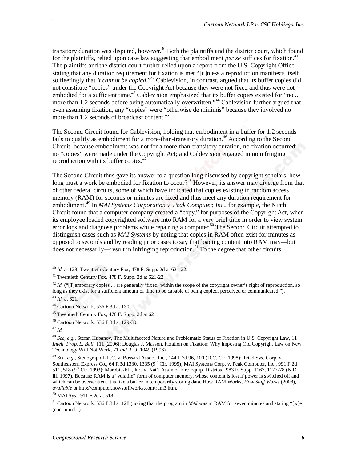transitory duration was disputed, however.<sup>40</sup> Both the plaintiffs and the district court, which found for the plaintiffs, relied upon case law suggesting that embodiment *per se* suffices for fixation.<sup>41</sup> The plaintiffs and the district court further relied upon a report from the U.S. Copyright Office stating that any duration requirement for fixation is met "[u]nless a reproduction manifests itself so fleetingly that *it cannot be copied*."<sup>42</sup> Cablevision, in contrast, argued that its buffer copies did not constitute "copies" under the Copyright Act because they were not fixed and thus were not embodied for a sufficient time.<sup>43</sup> Cablevision emphasized that its buffer copies existed for "no ... more than 1.2 seconds before being automatically overwritten."<sup>44</sup> Cablevision further argued that even assuming fixation, any "copies" were "otherwise de minimis" because they involved no more than 1.2 seconds of broadcast content.<sup>45</sup>

The Second Circuit found for Cablevision, holding that embodiment in a buffer for 1.2 seconds fails to qualify as embodiment for a more-than-transitory duration.<sup>46</sup> According to the Second Circuit, because embodiment was not for a more-than-transitory duration, no fixation occurred; no "copies" were made under the Copyright Act; and Cablevision engaged in no infringing reproduction with its buffer copies.<sup>47</sup>

The Second Circuit thus gave its answer to a question long discussed by copyright scholars: how long must a work be embodied for fixation to occur?<sup>48</sup> However, its answer may diverge from that of other federal circuits, some of which have indicated that copies existing in random access memory (RAM) for seconds or minutes are fixed and thus meet any duration requirement for embodiment.49 In *MAI Systems Corporation v. Peak Computer, Inc.*, for example, the Ninth Circuit found that a computer company created a "copy," for purposes of the Copyright Act, when its employee loaded copyrighted software into RAM for a very brief time in order to view system error logs and diagnose problems while repairing a computer.<sup>50</sup> The Second Circuit attempted to distinguish cases such as *MAI Systems* by noting that copies in RAM often exist for minutes as opposed to seconds and by reading prior cases to say that loading content into RAM may—but does not necessarily—result in infringing reproduction.<sup>51</sup> To the degree that other circuits

<u>.</u>

<sup>40</sup> *Id*. at 128; Twentieth Century Fox, 478 F. Supp. 2d at 621-22. 41 Twentieth Century Fox, 478 F. Supp. 2d at 621-22.

<sup>&</sup>lt;sup>42</sup> *Id.* ("[T]emporary copies ... are generally 'fixed' within the scope of the copyright owner's right of reproduction, so long as they exist for a sufficient amount of time to be capable of being copied, perceived or communicated."). <sup>43</sup> *Id*. at 621.

<sup>44</sup> Cartoon Network, 536 F.3d at 130.

<sup>45</sup> Twentieth Century Fox, 478 F. Supp. 2d at 621.

<sup>46</sup> Cartoon Network, 536 F.3d at 129-30.

<sup>47</sup> *Id*.

<sup>48</sup> *See, e.g.,* Stefan Hubanov, The Multifaceted Nature and Problematic Status of Fixation in U.S. Copyright Law, 11 *Intell. Prop. L. Bull.* 111 (2006); Douglas J. Masson, Fixation on Fixation: Why Imposing Old Copyright Law on New Technology Will Not Work, 71 *Ind. L. J.* 1049 (1996).

<sup>49</sup> *See, e.g.,* Stenograph L.L.C. v. Bossard Assoc., Inc., 144 F.3d 96, 100 (D.C. Cir. 1998); Triad Sys. Corp. v. Southeastern Express Co., 64 F.3d 1330, 1335 (9<sup>th</sup> Cir. 1995); MAI Systems Corp. v. Peak Computer, Inc., 991 F.2d 511, 518 (9<sup>th</sup> Cir. 1993); Marobie-FL., Inc. v. Nat'l Ass'n of Fire Equip. Distribs., 983 F. Supp. 1167, 1177-78 (N.D. Ill. 1997). Because RAM is a "volatile" form of computer memory, whose content is lost if power is switched off and which can be overwritten, it is like a buffer in temporarily storing data. How RAM Works, *How Stuff Works* (2008), *available at* http://computer.howstuffworks.com/ram3.htm.

<sup>50</sup> MAI Sys., 911 F.2d at 518.

<sup>51</sup> Cartoon Network, 536 F.3d at 128 (noting that the program in *MAI* was in RAM for seven minutes and stating "[w]e (continued...)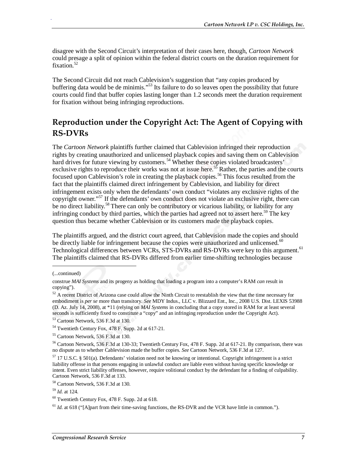disagree with the Second Circuit's interpretation of their cases here, though, *Cartoon Network* could presage a split of opinion within the federal district courts on the duration requirement for fixation.<sup>52</sup>

The Second Circuit did not reach Cablevision's suggestion that "any copies produced by buffering data would be de minimis."<sup>53</sup> Its failure to do so leaves open the possibility that future courts could find that buffer copies lasting longer than 1.2 seconds meet the duration requirement for fixation without being infringing reproductions.

### **Reproduction under the Copyright Act: The Agent of Copying with RS-DVRs**

The *Cartoon Network* plaintiffs further claimed that Cablevision infringed their reproduction rights by creating unauthorized and unlicensed playback copies and saving them on Cablevision hard drives for future viewing by customers.<sup>54</sup> Whether these copies violated broadcasters' exclusive rights to reproduce their works was not at issue here.<sup>55</sup> Rather, the parties and the courts focused upon Cablevision's role in creating the playback copies.<sup>56</sup> This focus resulted from the fact that the plaintiffs claimed direct infringement by Cablevision, and liability for direct infringement exists only when the defendants' own conduct "violates any exclusive rights of the copyright owner."57 If the defendants' own conduct does not violate an exclusive right, there can be no direct liability.<sup>58</sup> There can only be contributory or vicarious liability, or liability for any infringing conduct by third parties, which the parties had agreed not to assert here.<sup>59</sup> The key question thus became whether Cablevision or its customers made the playback copies.

The plaintiffs argued, and the district court agreed, that Cablevision made the copies and should be directly liable for infringement because the copies were unauthorized and unlicensed. $\frac{60}{2}$ Technological differences between VCRs, STS-DVRs and RS-DVRs were key to this argument.<sup>61</sup> The plaintiffs claimed that RS-DVRs differed from earlier time-shifting technologies because

1

<sup>(...</sup>continued)

construe *MAI Systems* and its progeny as holding that loading a program into a computer's RAM *can* result in copying").

 $52$  A recent District of Arizona case could allow the Ninth Circuit to reestablish the view that the time necessary for embodiment is *per se* more than transitory. *See* MDY Indus., LLC v. Blizzard Ent., Inc., 2008 U.S. Dist. LEXIS 53988 (D. Az. July 14, 2008), at \*11 (relying on *MAI Systems* in concluding that a copy stored in RAM for at least several seconds is sufficiently fixed to constitute a "copy" and an infringing reproduction under the Copyright Act).

<sup>53</sup> Cartoon Network, 536 F.3d at 130.

<sup>54</sup> Twentieth Century Fox, 478 F. Supp. 2d at 617-21.

<sup>55</sup> Cartoon Network, 536 F.3d at 130.

<sup>56</sup> Cartoon Network, 536 F.3d at 130-33; Twentieth Century Fox, 478 F. Supp. 2d at 617-21. By comparison, there was no dispute as to whether Cablevision made the buffer copies. *See* Cartoon Network, 536 F.3d at 127.

<sup>57 17</sup> U.S.C. § 501(a). Defendants' violation need not be knowing or intentional. Copyright infringement is a strict liability offense in that persons engaging in unlawful conduct are liable even without having specific knowledge or intent. Even strict liability offenses, however, require volitional conduct by the defendant for a finding of culpability. Cartoon Network, 536 F.3d at 133.

<sup>58</sup> Cartoon Network, 536 F.3d at 130.

<sup>59</sup> *Id*. at 124.

 $60$  Twentieth Century Fox, 478 F. Supp. 2d at 618.

 $61$  *Id.* at 618 ("[A]part from their time-saving functions, the RS-DVR and the VCR have little in common.").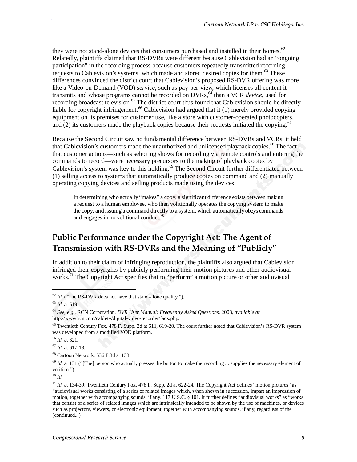they were not stand-alone devices that consumers purchased and installed in their homes.<sup>62</sup> Relatedly, plaintiffs claimed that RS-DVRs were different because Cablevision had an "ongoing participation" in the recording process because customers repeatedly transmitted recording requests to Cablevision's systems, which made and stored desired copies for them.<sup>63</sup> These differences convinced the district court that Cablevision's proposed RS-DVR offering was more like a Video-on-Demand (VOD) *service*, such as pay-per-view, which licenses all content it transmits and whose programs cannot be recorded on DVRs, <sup>64</sup> than a VCR *device*, used for recording broadcast television.<sup>65</sup> The district court thus found that Cablevision should be directly liable for copyright infringement.<sup>66</sup> Cablevision had argued that it  $(1)$  merely provided copying equipment on its premises for customer use, like a store with customer-operated photocopiers, and (2) its customers made the playback copies because their requests initiated the copying.<sup>6</sup>

Because the Second Circuit saw no fundamental difference between RS-DVRs and VCRs, it held that Cablevision's customers made the unauthorized and unlicensed playback copies.<sup>68</sup> The fact that customer actions—such as selecting shows for recording via remote controls and entering the commands to record—were necessary precursors to the making of playback copies by Cablevision's system was key to this holding.<sup>69</sup> The Second Circuit further differentiated between (1) selling access to systems that automatically produce copies on command and (2) manually operating copying devices and selling products made using the devices:

In determining who actually "makes" a copy, a significant difference exists between making a request to a human employee, who then volitionally operates the copying system to make the copy, and issuing a command directly to a system, which automatically obeys commands and engages in no volitional conduct.<sup>70</sup>

### **Public Performance under the Copyright Act: The Agent of Transmission with RS-DVRs and the Meaning of "Publicly"**

In addition to their claim of infringing reproduction, the plaintiffs also argued that Cablevision infringed their copyrights by publicly performing their motion pictures and other audiovisual works.<sup>71</sup> The Copyright Act specifies that to "perform" a motion picture or other audiovisual

1

.

<sup>66</sup> *Id*. at 621.

<sup>67</sup> *Id*. at 617-18.

68 Cartoon Network, 536 F.3d at 133.

<sup>69</sup> *Id.* at 131 ("[The] person who actually presses the button to make the recording ... supplies the necessary element of volition.").

<sup>70</sup> *Id*.

 $62$  *Id.* ("The RS-DVR does not have that stand-alone quality.").  $63$  *Id.* at 619.

<sup>64</sup> *See, e.g.*, RCN Corporation, *DVR User Manual: Frequently Asked Questions*, 2008, *available at* http://www.rcn.com/cabletv/digital-video-recorder/faqs.php.

 $<sup>65</sup>$  Twentieth Century Fox, 478 F. Supp. 2d at 611, 619-20. The court further noted that Cablevision's RS-DVR system</sup> was developed from a modified VOD platform.

 $^{71}$  *Id.* at 134-39; Twentieth Century Fox, 478 F. Supp. 2d at 622-24. The Copyright Act defines "motion pictures" as "audiovisual works consisting of a series of related images which, when shown in succession, impart an impression of motion, together with accompanying sounds, if any." 17 U.S.C. § 101. It further defines "audiovisual works" as "works that consist of a series of related images which are intrinsically intended to be shown by the use of machines, or devices such as projectors, viewers, or electronic equipment, together with accompanying sounds, if any, regardless of the (continued...)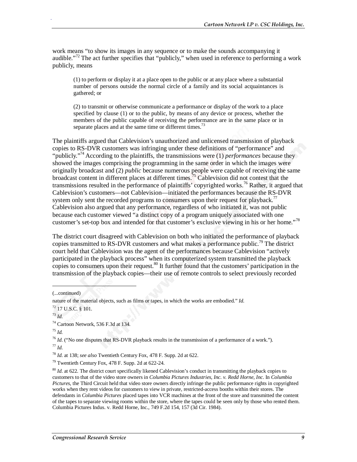work means "to show its images in any sequence or to make the sounds accompanying it audible."<sup>72</sup> The act further specifies that "publicly," when used in reference to performing a work publicly, means

(1) to perform or display it at a place open to the public or at any place where a substantial number of persons outside the normal circle of a family and its social acquaintances is gathered; or

(2) to transmit or otherwise communicate a performance or display of the work to a place specified by clause (1) or to the public, by means of any device or process, whether the members of the public capable of receiving the performance are in the same place or in separate places and at the same time or different times.<sup>73</sup>

The plaintiffs argued that Cablevision's unauthorized and unlicensed transmission of playback copies to RS-DVR customers was infringing under these definitions of "performance" and "publicly."<sup>74</sup> According to the plaintiffs, the transmissions were (1) *performances* because they showed the images comprising the programming in the same order in which the images were originally broadcast and (2) *public* because numerous people were capable of receiving the same broadcast content in different places at different times.<sup>75</sup> Cablevision did not contest that the transmissions resulted in the performance of plaintiffs' copyrighted works.<sup>76</sup> Rather, it argued that Cablevision's customers—not Cablevision—initiated the performances because the RS-DVR system only sent the recorded programs to consumers upon their request for playback.<sup>77</sup> Cablevision also argued that any performance, regardless of who initiated it, was not public because each customer viewed "a distinct copy of a program uniquely associated with one customer's set-top box and intended for that customer's exclusive viewing in his or her home."<sup>78</sup>

The district court disagreed with Cablevision on both who initiated the performance of playback copies transmitted to RS-DVR customers and what makes a performance public.<sup>79</sup> The district court held that Cablevision was the agent of the performances because Cablevision "actively participated in the playback process" when its computerized system transmitted the playback copies to consumers upon their request.  $80$  It further found that the customers' participation in the transmission of the playback copies—their use of remote controls to select previously recorded

1

<sup>(...</sup>continued)

nature of the material objects, such as films or tapes, in which the works are embodied." *Id*.

<sup>72 17</sup> U.S.C. § 101.

<sup>73</sup> *Id*. 74 Cartoon Network, 536 F.3d at 134.

<sup>75</sup> *Id.*

<sup>76</sup> *Id*. ("No one disputes that RS-DVR playback results in the transmission of a performance of a work."). <sup>77</sup> *Id*.

<sup>78</sup> *Id*. at 138; *see also* Twentieth Century Fox, 478 F. Supp. 2d at 622.

<sup>79</sup> Twentieth Century Fox, 478 F. Supp. 2d at 622-24.

<sup>80</sup> *Id*. at 622. The district court specifically likened Cablevision's conduct in transmitting the playback copies to customers to that of the video store owners in *Columbia Pictures Industries, Inc. v. Redd Horne, Inc.* In *Columbia Pictures*, the Third Circuit held that video store owners directly infringe the public performance rights in copyrighted works when they rent videos for customers to view in private, restricted-access booths within their stores. The defendants in *Columbia Pictures* placed tapes into VCR machines at the front of the store and transmitted the content of the tapes to separate viewing rooms within the store, where the tapes could be seen only by those who rented them. Columbia Pictures Indus. v. Redd Horne, Inc., 749 F.2d 154, 157 (3d Cir. 1984).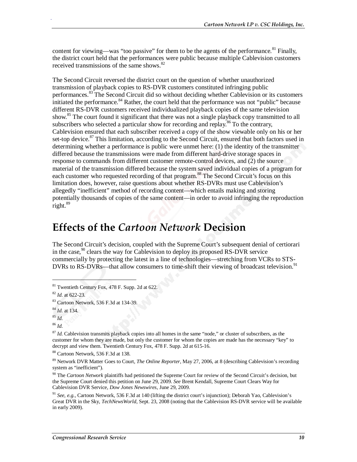content for viewing—was "too passive" for them to be the agents of the performance.<sup>81</sup> Finally, the district court held that the performances were public because multiple Cablevision customers received transmissions of the same shows.<sup>82</sup>

The Second Circuit reversed the district court on the question of whether unauthorized transmission of playback copies to RS-DVR customers constituted infringing public performances.<sup>83</sup> The Second Circuit did so without deciding whether Cablevision or its customers initiated the performance.<sup>84</sup> Rather, the court held that the performance was not "public" because different RS-DVR customers received individualized playback copies of the same television show.<sup>85</sup> The court found it significant that there was not a single playback copy transmitted to all subscribers who selected a particular show for recording and replay.<sup>86</sup> To the contrary, Cablevision ensured that each subscriber received a copy of the show viewable only on his or her set-top device.<sup>87</sup> This limitation, according to the Second Circuit, ensured that both factors used in determining whether a performance is public were unmet here: (1) the identity of the transmitter differed because the transmissions were made from different hard-drive storage spaces in response to commands from different customer remote-control devices, and (2) the source material of the transmission differed because the system saved individual copies of a program for each customer who requested recording of that program.<sup>88</sup> The Second Circuit's focus on this limitation does, however, raise questions about whether RS-DVRs must use Cablevision's allegedly "inefficient" method of recording content—which entails making and storing potentially thousands of copies of the same content—in order to avoid infringing the reproduction right.<sup>89</sup>

### **Effects of the** *Cartoon Network* **Decision**

The Second Circuit's decision, coupled with the Supreme Court's subsequent denial of certiorari in the case,  $90$  clears the way for Cablevision to deploy its proposed RS-DVR service commercially by protecting the latest in a line of technologies—stretching from VCRs to STS-DVRs to RS-DVRs—that allow consumers to time-shift their viewing of broadcast television.<sup>91</sup>

1

 $81$  Twentieth Century Fox, 478 F. Supp. 2d at 622.

<sup>82</sup> *Id*. at 622-23.

<sup>83</sup> Cartoon Network, 536 F.3d at 134-39.

<sup>84</sup> *Id*. at 134.

<sup>85</sup> *Id*.

<sup>86</sup> *Id*.

<sup>&</sup>lt;sup>87</sup> Id. Cablevision transmits playback copies into all homes in the same "node," or cluster of subscribers, as the customer for whom they are made, but only the customer for whom the copies are made has the necessary "key" to decrypt and view them. Twentieth Century Fox, 478 F. Supp. 2d at 615-16.

<sup>88</sup> Cartoon Network, 536 F.3d at 138.

<sup>89</sup> Network DVR Matter Goes to Court, *The Online Reporter*, May 27, 2006, at 8 (describing Cablevision's recording system as "inefficient").

<sup>&</sup>lt;sup>90</sup> The *Cartoon Network* plaintiffs had petitioned the Supreme Court for review of the Second Circuit's decision, but the Supreme Court denied this petition on June 29, 2009. *See* Brent Kendall, Supreme Court Clears Way for Cablevision DVR Service, *Dow Jones Newswires*, June 29, 2009.

<sup>91</sup> *See, e.g.*, Cartoon Network, 536 F.3d at 140 (lifting the district court's injunction); Deborah Yao, Cablevision's Great DVR in the Sky, *TechNewsWorld*, Sept. 23, 2008 (noting that the Cablevision RS-DVR service will be available in early 2009).